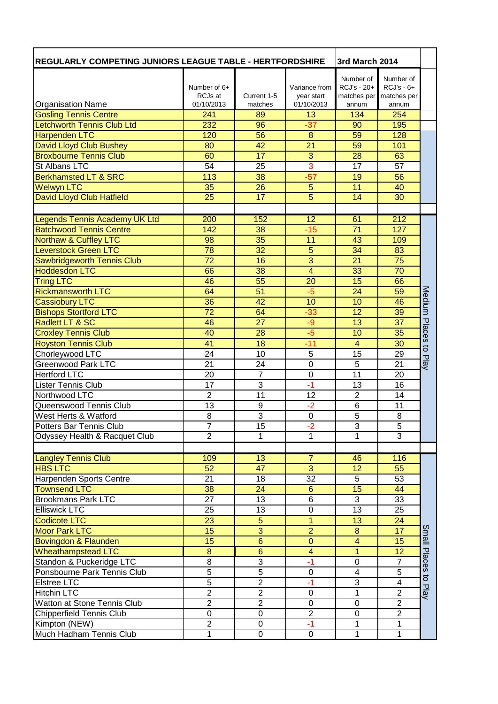| <b>REGULARLY COMPETING JUNIORS LEAGUE TABLE - HERTFORDSHIRE</b>   |                   |                       | 3rd March 2014          |                         |                  |                |
|-------------------------------------------------------------------|-------------------|-----------------------|-------------------------|-------------------------|------------------|----------------|
|                                                                   |                   |                       |                         | Number of               | Number of        |                |
|                                                                   | Number of $6+$    |                       | Variance from           | RCJ's - 20+             | $RCJ's - 6+$     |                |
|                                                                   | RCJs at           | Current 1-5           | year start              | matches per             | matches per      |                |
| <b>Organisation Name</b>                                          | 01/10/2013<br>241 | matches<br>89         | 01/10/2013<br>13        | annum<br>134            | annum<br>254     |                |
| <b>Gosling Tennis Centre</b><br><b>Letchworth Tennis Club Ltd</b> | 232               |                       |                         |                         |                  |                |
|                                                                   | 120               | 96<br>56              | $-37$<br>8              | 90<br>59                | 195              |                |
| <b>Harpenden LTC</b>                                              |                   |                       | $\overline{21}$         | 59                      | 128              |                |
| David Lloyd Club Bushey<br><b>Broxbourne Tennis Club</b>          | 80<br>60          | 42<br>$\overline{17}$ | $\overline{3}$          | 28                      | 101<br>63        |                |
| St Albans LTC                                                     | 54                | 25                    | 3                       | 17                      | 57               |                |
| <b>Berkhamsted LT &amp; SRC</b>                                   | 113               | 38                    | $-57$                   | 19                      | 56               |                |
| <b>Welwyn LTC</b>                                                 | 35                | 26                    | 5                       | 11                      | 40               |                |
| <b>David Lloyd Club Hatfield</b>                                  | 25                | 17                    | $\overline{5}$          | 14                      | 30               |                |
|                                                                   |                   |                       |                         |                         |                  |                |
| Legends Tennis Academy UK Ltd                                     | 200               | 152                   | $\overline{12}$         | 61                      | $\overline{212}$ |                |
| <b>Batchwood Tennis Centre</b>                                    | 142               | 38                    | $-15$                   | 71                      | 127              |                |
| <b>Northaw &amp; Cuffley LTC</b>                                  | 98                | 35                    | 11                      | 43                      | 109              |                |
| <b>Leverstock Green LTC</b>                                       | 78                | 32                    | $\overline{5}$          | 34                      | 83               |                |
| <b>Sawbridgeworth Tennis Club</b>                                 | $\overline{72}$   | 16                    | $\overline{3}$          | 21                      | 75               |                |
| <b>Hoddesdon LTC</b>                                              | 66                | 38                    | $\overline{4}$          | 33                      | 70               |                |
| <b>Tring LTC</b>                                                  | 46                | 55                    | 20                      | 15                      | 66               |                |
| <b>Rickmansworth LTC</b>                                          | 64                | 51                    | $-5$                    | 24                      | 59               |                |
| Cassiobury LTC                                                    | 36                | 42                    | 10                      | 10                      | 46               | Medium         |
| <b>Bishops Stortford LTC</b>                                      | $\overline{72}$   | 64                    | $-33$                   | 12                      | 39               |                |
| Radlett LT & SC                                                   | 46                | 27                    | -9                      | 13                      | 37               |                |
| <b>Croxley Tennis Club</b>                                        | 40                | 28                    | $-5$                    | 10                      | 35               | Places         |
| <b>Royston Tennis Club</b>                                        | 41                | 18                    | $-11$                   | 4                       | 30               |                |
| Chorleywood LTC                                                   | 24                | 10                    | 5                       | 15                      | 29               | $\overline{5}$ |
| <b>Greenwood Park LTC</b>                                         | 21                | 24                    | $\mathbf 0$             | 5                       | 21               | Play           |
| <b>Hertford LTC</b>                                               | $\overline{20}$   | $\overline{7}$        | $\overline{0}$          | 11                      | $\overline{20}$  |                |
| <b>Lister Tennis Club</b>                                         | $\overline{17}$   | 3                     | $-1$                    | 13                      | 16               |                |
| Northwood LTC                                                     | $\overline{2}$    | $\overline{11}$       | 12                      | $\overline{2}$          | 14               |                |
| Queenswood Tennis Club                                            | 13                | 9                     | $-2$                    | 6                       | 11               |                |
| West Herts & Watford                                              | $\overline{8}$    | $\overline{3}$        | $\overline{0}$          | $\overline{5}$          | 8                |                |
| Potters Bar Tennis Club                                           | ſ                 | 15                    | $-2$                    | 3                       | 5                |                |
| Odyssey Health & Racquet Club                                     | $\overline{2}$    | 1                     | 1                       | 1                       | $\overline{3}$   |                |
|                                                                   |                   |                       |                         |                         |                  |                |
| <b>Langley Tennis Club</b>                                        | 109               | 13                    | $\overline{7}$          | 46                      | 116              |                |
| <b>HBS LTC</b>                                                    | $\overline{52}$   | $\overline{47}$       | $\overline{3}$          | $\overline{12}$         | 55               |                |
| Harpenden Sports Centre                                           | 21                | 18                    | $\overline{32}$         | 5                       | 53               |                |
| <b>Townsend LTC</b>                                               | 38                | 24                    | $6\phantom{a}$          | 15                      | 44               |                |
| <b>Brookmans Park LTC</b>                                         | 27                | 13                    | 6                       | $\overline{3}$          | 33               |                |
| <b>Elliswick LTC</b>                                              | 25                | 13                    | $\overline{0}$          | $\overline{13}$         | 25               |                |
| <b>Codicote LTC</b>                                               | 23                | 5                     | 1                       | 13                      | 24               |                |
| <b>Moor Park LTC</b>                                              | 15                | $\overline{3}$        | $\overline{2}$          | $\bf{8}$                | 17               | Small          |
| Bovingdon & Flaunden                                              | 15                | $\overline{6}$        | $\mathbf 0$             | $\overline{4}$          | 15               |                |
| <b>Wheathampstead LTC</b>                                         | $\bf 8$           | $\overline{6}$        | $\overline{\mathbf{4}}$ | $\overline{1}$          | 12               |                |
| Standon & Puckeridge LTC                                          | $\bf 8$           | $\overline{3}$        | $-1$                    | $\mathbf 0$             | $\overline{7}$   | Places         |
| Ponsbourne Park Tennis Club                                       | $\overline{5}$    | $\overline{5}$        | $\pmb{0}$               | $\overline{\mathbf{4}}$ | $\overline{5}$   |                |
| <b>Elstree LTC</b>                                                | 5                 | $\overline{c}$        | $-1$                    | 3                       | 4                | $\vec{o}$      |
| <b>Hitchin LTC</b>                                                | $\overline{2}$    | $\overline{2}$        | $\mathbf 0$             | 1                       | $\overline{2}$   | Play           |
| Watton at Stone Tennis Club                                       | $\mathbf 2$       | $\boldsymbol{2}$      | 0                       | 0                       | $\overline{c}$   |                |
| <b>Chipperfield Tennis Club</b>                                   | $\mathbf 0$       | $\mathbf 0$           | $\overline{2}$          | 0                       | $\overline{2}$   |                |
| Kimpton (NEW)                                                     | $\overline{2}$    | 0                     | $-1$                    | 1                       | 1                |                |
| Much Hadham Tennis Club                                           | $\overline{1}$    | $\overline{0}$        | $\overline{0}$          | $\overline{1}$          | $\overline{1}$   |                |